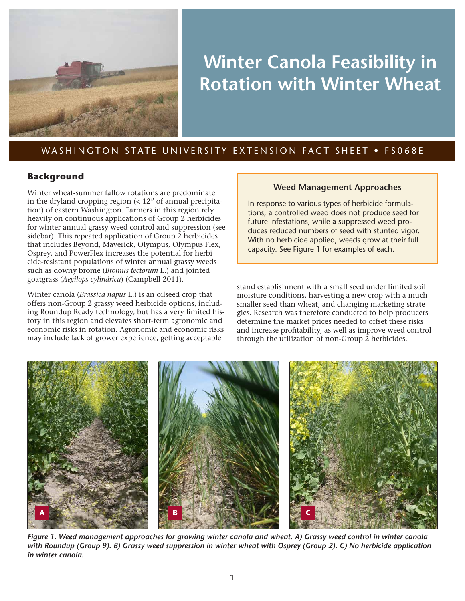

# **Winter Canola Feasibility in Rotation with Winter Wheat**

## WASHINGTON STATE UNIVERSITY EXTENSION FACT SHEET . FS068E

## **Background**

Winter wheat-summer fallow rotations are predominate in the dryland cropping region  $\left($  < 12" of annual precipitation) of eastern Washington. Farmers in this region rely heavily on continuous applications of Group 2 herbicides for winter annual grassy weed control and suppression (see sidebar). This repeated application of Group 2 herbicides that includes Beyond, Maverick, Olympus, Olympus Flex, Osprey, and PowerFlex increases the potential for herbicide-resistant populations of winter annual grassy weeds such as downy brome (*Bromus tectorum* L.) and jointed goatgrass (*Aegilops cylindrica*) (Campbell 2011).

Winter canola (*Brassica napus* L.) is an oilseed crop that offers non-Group 2 grassy weed herbicide options, including Roundup Ready technology, but has a very limited history in this region and elevates short-term agronomic and economic risks in rotation. Agronomic and economic risks may include lack of grower experience, getting acceptable

### **Weed Management Approaches**

In response to various types of herbicide formulations, a controlled weed does not produce seed for future infestations, while a suppressed weed produces reduced numbers of seed with stunted vigor. With no herbicide applied, weeds grow at their full capacity. See Figure 1 for examples of each.

stand establishment with a small seed under limited soil moisture conditions, harvesting a new crop with a much smaller seed than wheat, and changing marketing strategies. Research was therefore conducted to help producers determine the market prices needed to offset these risks and increase profitability, as well as improve weed control through the utilization of non-Group 2 herbicides.



*Figure 1. Weed management approaches for growing winter canola and wheat. A) Grassy weed control in winter canola with Roundup (Group 9). B) Grassy weed suppression in winter wheat with Osprey (Group 2). C) No herbicide application in winter canola.*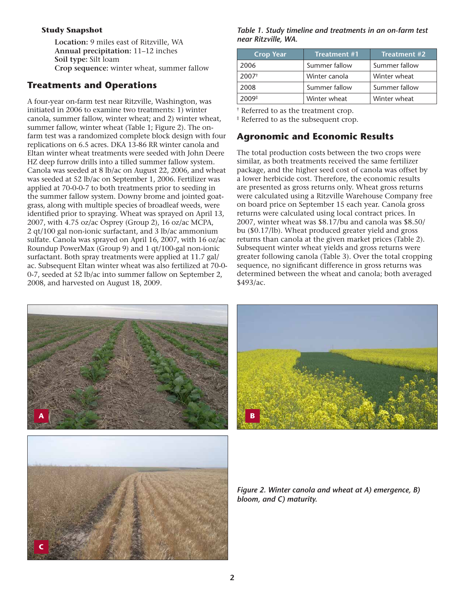#### **Study Snapshot**

**Location:** 9 miles east of Ritzville, WA **Annual precipitation:** 11–12 inches **Soil type:** Silt loam **Crop sequence:** winter wheat, summer fallow

## **Treatments and Operations**

A four-year on-farm test near Ritzville, Washington, was initiated in 2006 to examine two treatments: 1) winter canola, summer fallow, winter wheat; and 2) winter wheat, summer fallow, winter wheat (Table 1; Figure 2). The onfarm test was a randomized complete block design with four replications on 6.5 acres. DKA 13-86 RR winter canola and Eltan winter wheat treatments were seeded with John Deere HZ deep furrow drills into a tilled summer fallow system. Canola was seeded at 8 lb/ac on August 22, 2006, and wheat was seeded at 52 lb/ac on September 1, 2006. Fertilizer was applied at 70-0-0-7 to both treatments prior to seeding in the summer fallow system. Downy brome and jointed goatgrass, along with multiple species of broadleaf weeds, were identified prior to spraying. Wheat was sprayed on April 13, 2007, with 4.75 oz/ac Osprey (Group 2), 16 oz/ac MCPA, 2 qt/100 gal non-ionic surfactant, and 3 lb/ac ammonium sulfate. Canola was sprayed on April 16, 2007, with 16 oz/ac Roundup PowerMax (Group 9) and 1 qt/100-gal non-ionic surfactant. Both spray treatments were applied at 11.7 gal/ ac. Subsequent Eltan winter wheat was also fertilized at 70-0- 0-7, seeded at 52 lb/ac into summer fallow on September 2, 2008, and harvested on August 18, 2009.

#### *Table 1. Study timeline and treatments in an on-farm test near Ritzville, WA.*

| <b>Crop Year</b>    | Treatment #1  | <b>Treatment #2</b> |
|---------------------|---------------|---------------------|
| 2006                | Summer fallow | Summer fallow       |
| $2007$ <sup>†</sup> | Winter canola | Winter wheat        |
| 2008                | Summer fallow | Summer fallow       |
| $2009*$             | Winter wheat  | Winter wheat        |

† Referred to as the treatment crop.

‡ Referred to as the subsequent crop.

## **Agronomic and Economic Results**

The total production costs between the two crops were similar, as both treatments received the same fertilizer package, and the higher seed cost of canola was offset by a lower herbicide cost. Therefore, the economic results are presented as gross returns only. Wheat gross returns were calculated using a Ritzville Warehouse Company free on board price on September 15 each year. Canola gross returns were calculated using local contract prices. In 2007, winter wheat was \$8.17/bu and canola was \$8.50/ bu (\$0.17/lb). Wheat produced greater yield and gross returns than canola at the given market prices (Table 2). Subsequent winter wheat yields and gross returns were greater following canola (Table 3). Over the total cropping sequence, no significant difference in gross returns was determined between the wheat and canola; both averaged \$493/ac.



**C**



*Figure 2. Winter canola and wheat at A) emergence, B) bloom, and C) maturity.*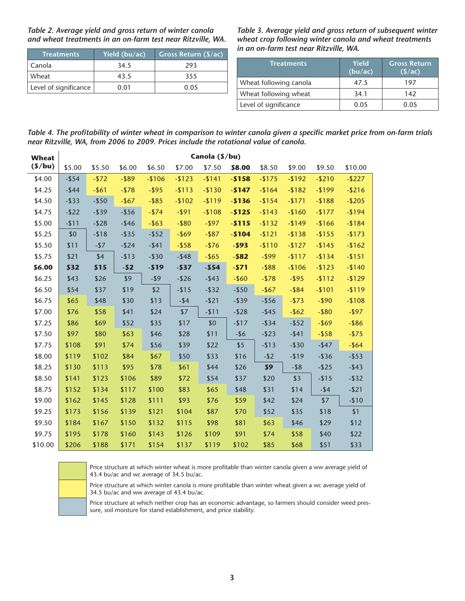| Table 2. Average yield and gross return of winter canola    |
|-------------------------------------------------------------|
| and wheat treatments in an on-farm test near Ritzville, WA. |

| <b>Treatments</b>     | Yield (bu/ac) | Gross Return $(\frac{s}{ac})$ |
|-----------------------|---------------|-------------------------------|
| Canola                | 34.5          | 293                           |
| Wheat                 | 43.5          | 355                           |
| Level of significance | 0.01          | 0.05                          |

*Table 3. Average yield and gross return of subsequent winter wheat crop following winter canola and wheat treatments in an on-farm test near Ritzville, WA.* 

| Treatments             | Yield<br>(bu/ac) | <b>Gross Return</b><br>(S/ac) |  |  |  |
|------------------------|------------------|-------------------------------|--|--|--|
| Wheat following canola | 47.5             | 197                           |  |  |  |
| Wheat following wheat  | 34.1             | 142                           |  |  |  |
| Level of significance  | 0.05             | 0.05                          |  |  |  |

*Table 4. The profitability of winter wheat in comparison to winter canola given a specific market price from on-farm trials near Ritzville, WA, from 2006 to 2009. Prices include the rotational value of canola.* 

| <b>Wheat</b> | Canola (\$/bu) |          |          |          |          |          |          |          |           |           |           |
|--------------|----------------|----------|----------|----------|----------|----------|----------|----------|-----------|-----------|-----------|
| $($ /bu $)$  | \$5.00         | \$5.50   | \$6.00   | \$6.50   | \$7.00   | \$7.50   | \$8.00   | \$8.50   | \$9.00    | \$9.50    | \$10.00   |
| \$4.00       | $-$ \$54       | $-$72$   | $-$ \$89 | $-$106$  | $-$123$  | $-$141$  | $-$158$  | $-$175$  | $-192$    | $-$ \$210 | $-$ \$227 |
| \$4.25       | $-$ \$44       | $-$ \$61 | $- $78$  | $-$ \$95 | $-$113$  | $-$130$  | $-$147$  | $-$164$  | $-182$    | $-199$    | $-$216$   |
| \$4.50       | $-$ \$33       | $- $50$  | $-$ \$67 | $-$ \$85 | $-$102$  | $-119$   | $-$136$  | $-154$   | $-$171$   | $-188$    | $-$205$   |
| \$4.75       | $-$22$         | $-$ \$39 | $-$ \$56 | $-$ \$74 | $-$ \$91 | $-$108$  | $-$125$  | $-$143$  | $-$160$   | $-1177$   | $-$194$   |
| \$5.00       | $-$11$         | $-$ \$28 | $-$ \$46 | $-$ \$63 | $-$ \$80 | $-$ \$97 | $-$115$  | $-$132$  | $-1149$   | $-1166$   | $-$184$   |
| \$5.25       | \$0            | $- $18$  | $-$ \$35 | $-$ \$52 | $-$ \$69 | $-$ \$87 | $-$104$  | $-$121$  | $-$ \$138 | $-1155$   | $-$173$   |
| \$5.50       | \$11           | $-157$   | $-$ \$24 | $-$ \$41 | $-$ \$58 | $-$76$   | $-593$   | $-$110$  | $-127$    | $-1145$   | $-$162$   |
| \$5.75       | \$21           | \$4      | $-$13$   | $-$ \$30 | $-$ \$48 | $-$ \$65 | $-582$   | $-$ \$99 | $-$117$   | $-134$    | $-151$    |
| \$6.00       | \$32           | \$15     | $-52$    | $-519$   | $-537$   | $-554$   | $-571$   | $-$ \$88 | $-$106$   | $-123$    | $-$140$   |
| \$6.25       | \$43           | \$26     | \$9      | $-19$    | $-$ \$26 | $-$ \$43 | $-$60$   | $-1578$  | $-$ \$95  | $-112$    | $-1129$   |
| \$6.50       | \$54           | \$37     | \$19     | \$2      | $-115$   | $-$ \$32 | $-$ \$50 | $-$ \$67 | $-$ \$84  | $-$101$   | $-$119$   |
| \$6.75       | \$65           | \$48     | \$30     | \$13     | $-$ \$4  | $-$21$   | $-$ \$39 | $-$ \$56 | $-$ \$73  | $-$ \$90  | $-$108$   |
| \$7.00       | \$76           | \$58     | \$41     | \$24     | \$7      | $-$11$   | $-$ \$28 | $-$ \$45 | $-$ \$62  | $-$ \$80  | $-$ \$97  |
| \$7.25       | \$86           | \$69     | \$52     | \$35     | \$17     | \$0      | $-117$   | $-$ \$34 | $-$ \$52  | $-$ \$69  | $-$ \$86  |
| \$7.50       | \$97           | \$80     | \$63     | \$46     | \$28     | \$11     | $-$ \$6  | $-$ \$23 | $-$ \$41  | $-$ \$58  | $-$ \$75  |
| \$7.75       | \$108          | \$91     | \$74     | \$56     | \$39     | \$22     | \$5      | $-$13$   | $-$30$    | $-$ \$47  | $-$ \$64  |
| \$8.00       | \$119          | \$102    | \$84     | \$67     | \$50     | \$33     | \$16     | $-$ \$2  | $-119$    | $-$ \$36  | $-$ \$53  |
| \$8.25       | \$130          | \$113    | \$95     | \$78     | \$61     | \$44     | \$26     | \$9      | $-$ \$8   | $-$ \$25  | $-$ \$43  |
| \$8.50       | \$141          | \$123    | \$106    | \$89     | \$72     | \$54     | \$37     | \$20     | \$3       | $-115$    | $-$ \$32  |
| \$8.75       | \$152          | \$134    | \$117    | \$100    | \$83     | \$65     | \$48     | \$31     | \$14      | $-$ \$4   | $-$21$    |
| \$9.00       | \$162          | \$145    | \$128    | \$111    | \$93     | \$76     | \$59     | \$42     | \$24      | \$7       | $-$10$    |
| \$9.25       | \$173          | \$156    | \$139    | \$121    | \$104    | \$87     | \$70     | \$52     | \$35      | \$18      | \$1       |
| \$9.50       | \$184          | \$167    | \$150    | \$132    | \$115    | \$98     | \$81     | \$63     | \$46      | \$29      | \$12      |
| \$9.75       | \$195          | \$178    | \$160    | \$143    | \$126    | \$109    | \$91     | \$74     | \$58      | \$40      | \$22      |
| \$10.00      | \$206          | \$188    | \$171    | \$154    | \$137    | \$119    | \$102    | \$85     | \$68      | \$51      | \$33      |

 $\overline{a}$ 

Price structure at which winter wheat is more profitable than winter canola given a ww average yield of 43.4 bu/ac and wc average of 34.5 bu/ac.

Price structure at which winter canola is more profitable than winter wheat given a wc average yield of 34.5 bu/ac and ww average of 43.4 bu/ac.

Price structure at which neither crop has an economic advantage, so farmers should consider weed pressure, soil moisture for stand establishment, and price stability.